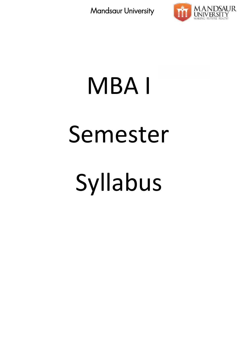

# MBA I Semester Syllabus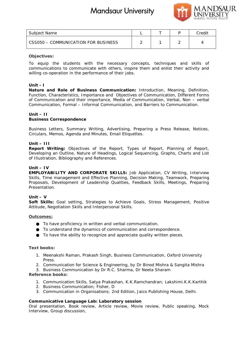

| Subject Name                        |  | Credit |
|-------------------------------------|--|--------|
| CSS050 - COMMUNICATION FOR BUSINESS |  |        |

#### **Objectives:**

To equip the students with the necessary concepts, techniques and skills of communications to communicate with others, inspire them and enlist their activity and willing co-operation in the performance of their jobs. communications to communicate with others, inspire them and enlist their activity and<br>willing co-operation in the performance of their jobs.<br>Unit - I<br>Nature and Role of Business Communication: Introduction, Meaning, Defini

## **Unit - I**

Function, Characteristics, Importance and Objectives of Communication, Different Forms of Communication and their importance, Media of Communication, Verbal, Non – verbal Communication, Formal – Informal Communication, and Barriers to Communication. ristics, Importance and Objectives of Communication, Different F<br>and their importance, Media of Communication, Verbal, Non – v<br>rmal – Informal Communication, and Barriers to Communication. **Laborator Consumer Consumer Consumer**<br> **Laborator Consumers Laboratory consepts, techniques and skills of**<br>
with others, inspire them and enlist their activity and<br>
since of their jobs:<br> **Communication:** Introduction, M

**Unit – II Business Correspondence**

Business Letters, Summary Writing, Advertising, Preparing a Press Release, Notices,<br>Circulars, Memos, Agenda and Minutes, Email Etiquettes. Circulars, Memos, Agenda and Minutes, Email Etiquettes.

## **Unit – III III**

**Report Writing:** Objectives of the Report, Types of Report, Planning of Report, Developing an Outline, Nature of Headings, Logical Sequencing, Graphs, Charts and List of Illustration, Bibliography and References. ng: Objectives of the Report, Types of Report,<br>Outline, Nature of Headings, Logical Sequencing, Gr<br>Bibliography and References.

#### **Unit – IV**

**EMPLOYABILITY AND CORPORATE SKILLS:** Job Application, CV Writing, Interview Skills, Time management and Effective Planning, Decision Making, Teamwork, Preparing Proposals, Development of Leadership Qualities, Feedback Skills, Meetings, Preparing Presentation. EMPLOYABILITY AND CORPORATE SKILLS: Job Application, CV Writing,<br>Skills, Time management and Effective Planning, Decision Making, Teamwork,<br>Proposals, Development of Leadership Qualities, Feedback Skills, Meetings,<br>Present

**Unit – V**

**Soft Skills:** Goal setting, Strategies to Achieve Goals, Stress Management, Positive Attitude, Negotiation Skills and Interpersonal Skills. kills: Goal setting, Strategies to Achieve Goals, Stress Management,<br>e, Negotiation Skills and Interpersonal Skills.<br><u>mes:</u><br>To have proficiency in written and verbal communication.<br>To understand the dynamics of communicati

#### **Outcomes:**

To have proficiency in written and verbal communication.

To understand the dynamics of communication and correspondence.

**Text books: books:**

- 1. Meenakshi Raman, Prakash Singh, Business Communication, Oxford University Business Communication, UniversityPress.
- 2. Communication for Science & Engineering, by Dr Binod Mishra & Sangita Mishra

3. Business Communication by Dr R.C. Sharma, Dr Neeta Sharam

**Reference books:**

- 1. Communication Skills, Satya Prakashan, K.K.Ramchandran; Lakshimi.K.K.Karthik Frence books:<br>
2. Communication Skills, Satya Prakashan, K.K.R<br>
2. Business Communication; Fisher, D
- 
- 3. Communication in Organisations; 2nd Edition, Jaico Publishing House, Delhi.

**Communicative Language Lab: Laboratory session**

Oral presentation, Book review, Article review, Movie review, Public speaking, Mock Interview, Group discussion,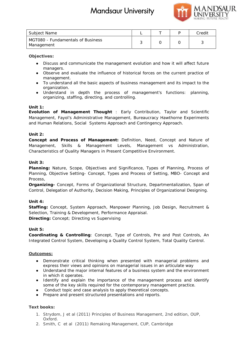

| Subject Name                                    |  | Credit |
|-------------------------------------------------|--|--------|
| MGT080 - Fundamentals of Business<br>Management |  |        |

**Objectives:**

Discuss and communicate the management evolution and how it will affect future managers. Discuss and communicate the management evolution and how it will affect future<br>managers.<br>Observe and evaluate the influence of historical forces on the current practice of

management.

To understand all the basic aspects of business management and its impact to the organization.

Understand in depth the process of management's functions: planning, organizing, staffing, directing, and controlling.

**Unit 1:**

*Evolution of Management Thought* : Early Contribution, Taylor and Scientific Management, Fayol's Administrative Management, Bureaucracy Hawthorne Experiments and Human Relations, Social Systems Approach and Contingency Approach.

## **Unit 2:**

*Concept and Process of Management:* Definition, Need, Concept and Nature of Management, Skills & Management Levels, Management vs Administration, Characteristics of Quality Managers in Present Competitive Environment. Evolution of Management Thought : Early Contribution, Taylor and Scientific<br>Management, Fayol's Administrative Management, Bureaucracy Hawthorne Experiments<br>and Human Relations, Social Systems Approach and Contingency Appr

## **Unit 3:**

*Planning***:** Nature, Scope, Objectives and Significance, Types of Planning, Process of Planning, Objective Setting- Concept, Types and Process of Setting, MBO- Concept and Process,

*Organizing-* Concept, Forms of Organizational Structure, Departmentalization, Span of Control, Delegation of Authority, Decision Making, Principles of Organizational Designing.

**Unit 4:**

*Staffing:* Concept, System Approach, Manpower Planning, Job Design, Recruitment & Selection, Training & Development, Performance Appraisal. *Directing:* Concept; Directing vs Supervising Planning, Objective Setting- Concept, Types and Process of Setting, MBO- Concept and<br>Process,<br>Organizing- Concept, Forms of Organizational Structure, Departmentalization, Span of<br>Control, Delegation of Authority, Decision

**Unit 5:**

*Coordinating & Controlling*: Concept, Type of Controls, Pre and Post Controls, An Integrated Control System, Developing a Quality Control System, Total Quality Control.

## **Outcomes:**

Demonstrate critical thinking when presented with managerial problems and express their views and opinions on managerial issues in an articulate way Understand the major internal features of a business system and the environment in which it operates. *Coordinating & Controlling: Concept, Type of Controls, Pre and Post Controls, An*<br>Integrated Control System, Developing a Quality Control System, Total Quality Control.<br>Qutcomes:<br>Demonstrate critical thinking when present me<br>
Tundamentals of Business<br>
It contains and communicate the management evolution and how it will affect future<br>
It and some and communicate the influence of instorical toros on the current practice of<br>
any stand communic

Identify and explain the importance of the management process and identify some of the key skills required for the contemporary management practice. Conduct topic and case analysis to apply theoretical concepts. dentify and explain the importance<br>some of the key skills required for the<br>Conduct topic and case analysis to apprepare and present structured present

Prepare and present structured presentations and reports.

**Text books: books:**

- 1. Strydom, J et al (2011) Principles of Business Management, 2nd edition, OUP,<br>Oxford. Oxford.
- 2. Smith, C et al (2011) Remaking Management, CUP, Cambridge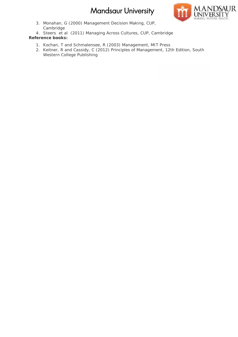

3. Monahan, G (2000) Management Decision Making, CUP, Monahan, G Cambridge

4. Steers et al (2011) Managing Across Cultures, CUP, Cambridge **Reference books:**

- 1. Kochan, T and Schmalensee, R (2003) Management, MIT Press
- 2. Keitner, R and Cassidy, C (2012) Principles of Management, 12th Edition, South Western College Publishing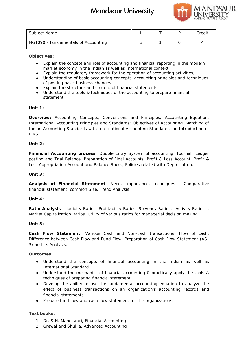

| Subject Name                        |  | Credit |
|-------------------------------------|--|--------|
| MGT090 - Fundamentals of Accounting |  |        |

**Objectives:**

Explain the concept and role of accounting and financial reporting in the modern market economy in the Indian as well as International context. Explain the regulatory framework for the operation of accounting activities, Understanding of basic accounting concepts, accounting principles and techniques of posting basic business changes. Explain the structure and content of financial statements. Understand the tools & techniques of the accounting to prepare financial in the concept and role of accounting and financial reporting in the modern<br>et economy in the Indian as well as International context.<br>In the regulatory framework for the operation of accounting activities,<br>standing of bas Budget Name<br>
and Credit and Schements of Accounting<br>
Valid Credit Credit and Credit and Credit and Credit and Credit and Credit Credit Credit and Credit and Credit and Credit and Credit and Credit and Credit and Credit and

**Unit 1:**

statement.

*Overview:* Accounting Concepts, Conventions and Principles; Accounting Equation, International Accounting Principles and Standards; Objectives of Accounting, Matching of Indian Accounting Standards with International Accounting Standards, an Introduction of IFRS.

**Unit 2:**

*Financial Accounting* **process**: Double Entry System of accounting, Journal; Ledger posting and Trial Balance, Preparation of Final Accounts, Profit & Loss Account, Profit & Loss Appropriation Account and Balance Sheet, Policies related with Depreciation, Indian Accounting Standards with International Accounting Standards, an Introduction<br>IFRS.<br>Unit 2:<br>Financial Accounting process: Double Entry System of accounting, Journal; Ledge<br>posting and Trial Balance, Preparation of F

**Unit 3:**

*Analysis of Financial Statement:* Need, Importance, techniques - Comparative *:*financial statement, common Size, Trend Analysis

**Unit 4:**

**Ratio Analysis**- Liquidity Ratios, Profitability Ratios, Solvency Ratios, Activity Ratios, , **Analysis**,Market Capitalization Ratios. Utility of various ratios for managerial decision making

**Unit 5:**

*Cash Flow Statement*: Various Cash and Non-cash transactions, Flow of cash, Difference between Cash Flow and Fund Flow, Preparation of Cash Flow Statement (AS- 3) and its Analysis. sh Flow Statement: Various Cash and Non-cash transact<br>ference between Cash Flow and Fund Flow, Preparation of Cash<br>and its Analysis.

## **Outcomes:**

Understand the concepts of financial accounting in the Indian as well as International Standard.

Understand the mechanics of financial accounting & practically apply the tools & techniques of preparing financial statement. Understand the concepts of financial accounting in the Indian as well as<br>International Standard.<br>Understand the mechanics of financial accounting & practically apply the tools &<br>techniques of preparing financial statementa

Develop the ability to use the fundamental accounting equation to analyze the financial statements.

Prepare fund flow and cash flow statement for the organizations.

**Text books: books:**

- 1. Dr. S.N. Maheswari, Financial Accounting
- 2. Grewal and Shukla, Advanced Accounting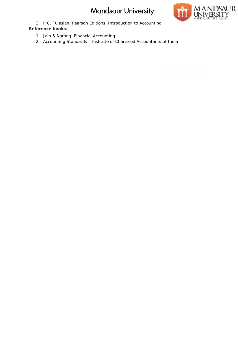

3. P.C. Tulasian, Pearson Editions, Introduction to Accounting **Reference books:** 3. P.C. Tulasian, Pearson Editions, Introduction to Accounting<br>erence books:<br>1. Jain & Narang. Financial Accounting<br>2. Accounting Standards - Institute of Chartered Accountants of India

- 1. Jain & Narang. Financial Accounting
-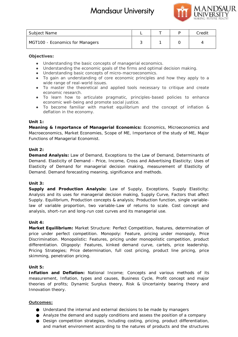

| Subject Name                    |  | Credit |
|---------------------------------|--|--------|
| MGT100 - Economics for Managers |  |        |

## **Objectives:**

Understanding the basic concepts of managerial economics.

Understanding the economic goals of the firms and optimal decision making.

Understanding basic concepts of micro-macroeconomics.

To gain an understanding of core economic principles and how they apply to a wide range of real-world issues.

To master the theoretical and applied tools necessary to critique and create economic research.

To learn how to articulate pragmatic, principles-based policies to enhance economic well-being and promote social justice. ding the economic goals of the firms and optimal decision making<br>ding basic concepts of micro-macroeconomics.<br>In understanding of core economic principles and how they app<br>e of real-world issues.<br>The theoretical and applie

To become familiar with market equilibrium and the concept of inflation & deflation in the economy.

## **Unit 1:**

*Meaning & Importance of Managerial Economics:* Economics, Microeconomics and Macroeconomics, Market Economies, Scope of ME, Importance of the study of ME, Major Functions of Managerial Economist. *Meaning & Importance of Managerial Economics: Economics, Microeconomics and<br>Macroeconomics, Market Economies, Scope of ME, Importance of the study of ME, Major<br>Functions of Managerial Economist.<br>Unit 2:<br>Demand Analysis: L* 

## **Unit 2:**

Demand. Elasticity of Demand - Price, Income, Cross and Advertising Elasticity; Uses of Elasticity of Demand for managerial decision making, measurement of Elasticity of Demand. Demand forecasting meaning, significance and methods. iticity of Demand - Price, Income, Cross and Advertising Elasticity; Uses of<br>Demand for managerial decision making, measurement of Elasticity of<br>hand forecasting meaning, significance and methods.

## **Unit 3:**

*Supply and Production Analysis:* Law of Supply, Exceptions, Supply Elasticity; Supply and Production Analysis: Law of Supply, Exceptions, Supply Elasticity;<br>Analysis and its uses for managerial decision making, Supply Curve, Factors that affect Supply. Equilibrium, Production concepts & analysis; Production function, single variable- Production variablelaw of variable proportion, two variable-Law of returns to scale. Cost concept and analysis, short-run and long-run cost curves and its managerial use.

## **Unit 4:**

analysis, short-run and long-run cost curves and its managerial use.<br>Unit 4:<br>Market Equilibrium: Market Structure: Perfect Competition, features, determination of price under perfect competition. Monopoly: Feature, pricing under monopoly, Price Discrimination. Monopolistic: Features, pricing under monopolistic competition, product price under perfect competition. Monopoly: Feature, pricing under monopoly, Price<br>Discrimination. Monopolistic: Features, pricing under monopolistic competition, product<br>differentiation. Oligopoly: Features, kinked demand Pricing Strategies; Price determination, full cost pricing, product line pricing, price pricing, skimming, penetration pricing. **Bulget New Your Surplus Risk supply concepts and the surplus Risk supply conditions computer and Surplus Risk supply conditions computer and Surplus Risk supply conditions company company and the bulget company company co** 

## **Unit 5:**

*Inflation and Deflation***:** National Income; Concepts and various methods of its measurement, Inflation, types and causes, Business Cycle, Profit concept and major theories of profits; Dynamic Surplus theory, Risk & Uncertainty bearing theory and Innovation theory.

## **Outcomes:**

Understand the internal and external decisions to be made by managers Analyze the demand and supply conditions and assess the position of a company Design competition strategies, including costing, pricing, product differentiation, and market environment according to the natures of products and the structures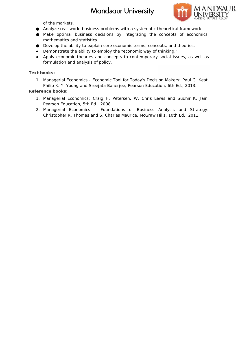

of the markets.

Analyze real-world business problems with a systematic theoretical framework. Make optimal business decisions by integrating the concepts of economics, mathematics and statistics. Make optimal business decisions by integrating the concepts of economic<br>mathematics and statistics.<br>Develop the ability to explain core economic terms, concepts, and theories.

Demonstrate the ability to employ the "economic way of thinking."

Apply economic theories and concepts to contemporary social issues, as well as formulation and analysis of policy. Demonstrate the ability to employ the "economic way of thinkin<br>Apply economic theories and concepts to contemporary social<br>formulation and analysis of policy. relop the ability to explain core economic terms,<br>nonstrate the ability to employ the "economic way<br>y economic theories and concepts to contempo<br>nulation and analysis of policy.<br>s:<br>s:<br>nagerial Economics - Economic Tool for

**Text books: books:**

1. Managerial Economics - Economic Tool for Today's Decision Makers: Paul G. Keat, Managerial Economics - Economic Tool for Today's Decision Makers: Paul G. Keat<br>Philip K. Y. Young and Sreejata Banerjee, Pearson Education, 6th Ed., 2013.

**Reference books:**

- 1. Managerial Economics: Craig H. Petersen, W. Chris Lewis and Sudhir K. Jain,<br>Pearson Education, 5th Ed., 2008. Pearson Education, 5th Ed., 2008.
- 2. Managerial Economics Foundations of Business Analysis and Strategy: Christopher R. Thomas and S. Charles Maurice, McGraw Hills, 10th Ed., 2011.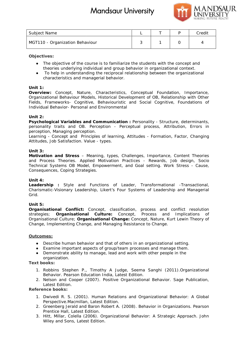

| Subject Name                    |  | Credit |
|---------------------------------|--|--------|
| MGT110 - Organization Behaviour |  |        |

**Objectives:**

The objective of the course is to familiarize the students with the concept and theories underlying individual and group behavior in organizational context. To help in understanding the reciprocal relationship between the organizational characteristics and managerial behavior.

## **Unit 1:**

*Overview:* Concept, Nature, Characteristics, Conceptual Foundation, Importance, Organizational Behaviour Models, Historical Development of OB, Relationship with Other Fields, Frameworks- Cognitive, Behaviouristic and Social Cognitive, Foundations of Individual Behavior- Personal and Environmental To help in understanding the reciprocal relationship between the organ<br>characteristics and managerial behavior.<br>Bew: Concept, Nature, Characteristics, Conceptual Foundation, Ir<br>ational Behaviour Models, Historical Developm Entailed Bohariottical Satisfaction (Fig. 2016)<br>
Edition. Credit concept and a group behavior in organizational concept and<br>
in understanding the redproced relationship between the concept and<br>
in the origin profession of

#### **Unit 2:**

*Psychological Variables and Communication :* Personality - Structure, determinants, *Variables :*personality traits and OB. Perception -Perceptual process, Attribution, Errors in perception, Managing perception.

Learning - Concept and Principles of learning, Attitudes - Formation, Factor, Changing Attitudes, Job Satisfaction. Value - types. personality traits and OB. Perception - Perceptual process, Attribution,<br>perception, Managing-perception.<br>Learning - Concept and Principles of learning, Attitudes - Formation, Factor,<br>Attitudes, Job-Satisfaction. Value - t

#### **Unit 3:**

**Motivation and Stress** – Meaning, types, Challenges, Importance, Content Theories Motivation and Stress – Meaning, types, Challenges, Importance, Content Theories<br>and Process Theories. Applied Motivation Practices - Rewards, Job design, Socio Technical Systems OB Model, Empowerment, and Goal setting. Work Stress - Cause, Consequences, Coping Strategies.

#### **Unit 4:**

*Leadership* **:** Style and Functions of Leader, Transformational -Transactional, Charismatic-Visionary Leadership, Likert's Four Systems of Leadership and Managerial Grid.

## **Unit 5:**

*Organisational Conflict:* Concept, classification, process and conflict resolution Organisational Conflict: Concept, classification, process and conflict resolution<br>strategies; Organisational Culture: Concept, Process and Implications of Organisational Culture; *Organisational Change:* Concept, Nature, Kurt Lewin Theory of Change, Implementing Change, and Managing Resistance to Change.

#### **Outcomes:**

Describe human behavior and that of others in an organizational setting. Examine important aspects of group/team processes and manage them. sational Culture; Organisational Change: Concept, Nature, Kurt Lewin Theory<br> *R*, Implementing Change, and Managing Resistance to Change.<br>
<u>Describe human behavior and that of others in an organizational setting.</u><br>
Examine organization.

**Text books: books:**

- 1. Robbins Stephen P., Timothy A Judge, Seema Sanghi (2011). Organizational<br>Behavior. Pearson Education India, Latest Edition. Behavior. Pearson Education India, Latest Edition.
- 2. Nelson and Cooper (2007). Positive Organizational Behavior. Sage Publication, Latest Edition.

**Reference books:**

- 1. Dwivedi R. S. (2001). Human Relations and Organizational Behavior: A Global Perspective.Macmillan, Latest Edition.
- 2. Greenberg Jerald and Baron Robert A. (2008). Behavior in Organizations. Pearson Prentice Hall, Latest Edition.
- 3. Hitt, Millar, Colella (2006). Organizational Behavior: A Strategic Approach. John Wiley and Sons, Latest Edition.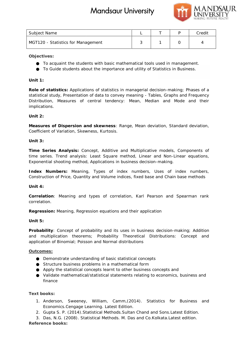

| Subject Name                       |  | Credit |
|------------------------------------|--|--------|
| MGT120 - Statistics for Management |  |        |

**Objectives:**

To acquaint the students with basic mathematical tools used in management. To Guide students about the importance and utility of Statistics in Business.

**Unit 1:**

*Role of statistics:* Applications of statistics in managerial decision-making; Phases of a statistical study, Presentation of data to convey meaning - Tables, Graphs and Frequency Distribution, Measures of central tendency: Mean, Median and Mode and their implications. statistics: Applications of statistics in managerial decision-making; Phases of a<br>*I*l study, Presentation of data to convey meaning - Tables, Graphs and Frequency<br>ion, Measures of central tendency: Mean, Median and

**Unit 2:**

**Measures of Dispersion and skewness**: Range, Mean deviation, Standard deviation, Coefficient of Variation, Skewness, Kurtosis.

**Unit 3:**

*Time Series Analysis:* Concept, Additive and Multiplicative models, Components of time series. Trend analysis: Least Square method, Linear and Non-Linear equations, Exponential shooting method, Applications in business decision-making. s Analysis: Concept, Additive and Multiplicative models, Components of<br>Trend analysis: Least Square method, Linear and Non-Linear equations,<br>shooting method, Applications in business decision-making.

Index Numbers: Meaning, Types of index numbers, Uses of index numbers, Construction of Price, Quantity and Volume indices, fixed base and Chain base methods

**Unit 4:**

*Correlation*: Meaning and types of correlation, Karl Pearson and Spearman rank correlation. Correlation: Meaning and types of correlation, Karl Pearson and Spearman rank<br>correlation.<br>Regression: Meaning, Regression equations and their application<br>Unit 5:<br>Probability: Concept of probability and its uses in busines

*Regression:* Meaning, Regression equations and their application

**Unit 5:**

application of Binomial; Poisson and Normal distributions

## **Outcomes:**

and multiplication theorems; Probability Theoretical Distributions: Concept and<br>application of Binomial; Poisson and Normal distributions<br><u>Outcomes:</u><br>Demonstrate understanding of basic statistical concepts<br>Structure busine Demonstrate understanding of basic statistical concepts Structure business problems in a mathematical form Apply the statistical concepts learnt to other business concepts and Validate mathematical/statistical statements relating to economics, business and finance me<br>
12. Processor<br>
2. Statistical for Management<br>
2. Statistical for Management<br>
2. Statistical Methods. The memorial Methods. Das and in management.<br>
2. Statistics Applications of statistics in managemial docision. making

**Text books: books:**

- 1. Anderson, Sweeney, William, Camm,(2014). Statistics for Business and Economics.Cengage Learning. Latest Edition.
- 2. Gupta S. P. (2014).Statistical Methods.Sultan Chand and Sons.Latest Edition.

3. Das, N.G. (2008). Statistical Methods. M. Das and Co.Kolkata.Latest edition.

**Reference books:**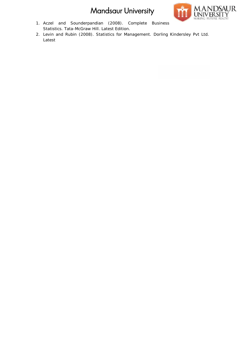

- 1. Aczel and Sounderpandian (2008). Complete Business Statistics. Tata-McGraw Hill. Latest Edition.
- 2. Levin and Rubin (2008). Statistics for Management. Dorling Kindersley Pvt Ltd. Latest Statistics. Tata-McGraw Hill. Latest Edition.<br>Levin and Rubin (2008). Statistics for Management. Dorling Kindersley<br>Latest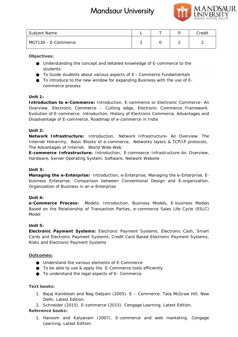

| Subject Name        |  |   | Credit |
|---------------------|--|---|--------|
| MGT130 - E-Commerce |  | ∸ |        |

**Objectives:**

Understanding the concept and detailed knowledge of E-commerce to the students.

To Guide students about various aspects of E - Commerce Fundamentals To Guide students about various aspects of E - Commerce Fundamentals<br>To introduce to the new window for expanding Business with the use of Ecommerce process Maring the concept and detailed knowledge of E-commerce to the<br>students about various aspects of E - Commerce Fundamentals<br>uce to the new window for expanding Business with the use of E-<br>e process<br>p e-Commerce: Introductio

## **Unit 1:**

*Introduction to e-Commerce:* Introduction, E-commerce or Electronic Commerce- An Overview, Electronic Commerce – Cutting edge, Electronic Commerce Framework. Evolution of E-commerce: Introduction, History of Electronic Commerce, Advantages and Disadvantage of E-commerce, Roadmap of e-commerce in India

## **Unit 2:**

*Network Infrastructure:* Introduction, Network Infrastructure- An Overview, The Internet Hierarchy, Basic Blocks of e-commerce, Networks layers & TCP/IP protocols, The Advantages of Internet, World Wide Web r, Electronic Commerce – Cutting edge, Electronic Commerce Framework.<br>
of E-commerce: Introduction, History of Electronic Commerce, Advantages and<br>
tage of E-commerce, Roadmap of e-commerce in India<br>
clares of E-commerce,

*E-commerce Infrastructure:* Introduction, E-commerce Infrastructure-An Overview, Hardware, Server Operating System, Software, Network Website

## **Unit 3:**

*Managing the e-Enterprise:* Introduction, e-Enterprise, Managing the e-Enterprise, E business Enterprise, Comparison between Conventional Design and E-organization,<br>Organization of Business in an e-Enterprise Organization of Business in an e-Enterprise

## **Unit 4:**

*e-Commerce Process:* Models: Introduction, Business Models, E-business Models *Process:*Based on the Relationship of Transaction Parties, e-commerce Sales Life Cycle (ESLC) Model

## **Unit 5:**

*Electronic Payment Systems:* Electronic Payment Systems, Electronic Cash, Smart Electronic Payment Systems: Electronic Payment Systems, Electronic Cash, Smart<br>Cards and Electronic Payment Systems, Credit Card Based Electronic Payment Systems, Risks and Electronic Payment Systems

## **Outcomes:**

and Electronic Payment Systems<br><u>pmes:</u><br>Understand the various elements of E-Commerce To be able to use & apply the E-Commerce tools efficiently To understand the legal aspects of E- Commerce.

## **Text books: books:**

1. Bajaj Kamblesh and Nag Debjani (2005). E – Commerce. Tata McGraw Hill, New –Delhi. Latest Edition.

2. Schneider (2015). E-commerce (2015). Cengage Learning. Latest Edition. **Reference books:**

1. Hansom and Kalyanam (2007). E-commerce and web marketing. Cengage Learning. Latest Edition.